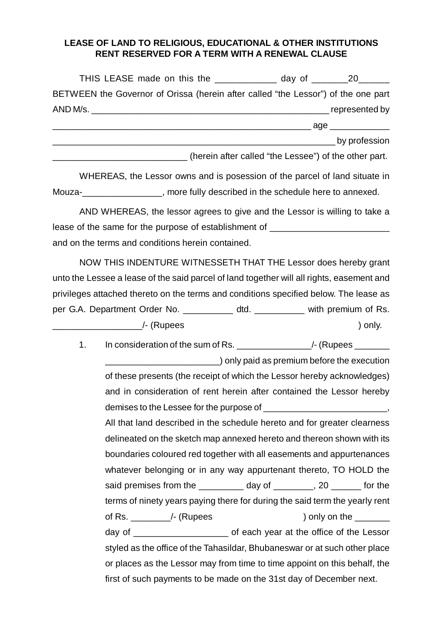## **LEASE OF LAND TO RELIGIOUS, EDUCATIONAL & OTHER INSTITUTIONS RENT RESERVED FOR A TERM WITH A RENEWAL CLAUSE**

| THIS LEASE made on this the ____________ day of ________________________________  |                                                       |                 |
|-----------------------------------------------------------------------------------|-------------------------------------------------------|-----------------|
| BETWEEN the Governor of Orissa (herein after called "the Lessor") of the one part |                                                       |                 |
|                                                                                   |                                                       |                 |
|                                                                                   |                                                       |                 |
|                                                                                   |                                                       | _ by profession |
|                                                                                   | (herein after called "the Lessee") of the other part. |                 |

WHEREAS, the Lessor owns and is posession of the parcel of land situate in Mouza-<br>Mouza-<br>more fully described in the schedule here to annexed.

AND WHEREAS, the lessor agrees to give and the Lessor is willing to take a lease of the same for the purpose of establishment of \_\_\_\_\_\_\_\_\_\_\_\_\_\_\_\_\_\_\_\_\_\_\_\_\_\_\_ and on the terms and conditions herein contained.

NOW THIS INDENTURE WITNESSETH THAT THE Lessor does hereby grant unto the Lessee a lease of the said parcel of land together will all rights, easement and privileges attached thereto on the terms and conditions specified below. The lease as per G.A. Department Order No. \_\_\_\_\_\_\_\_\_\_ dtd. \_\_\_\_\_\_\_\_\_ with premium of Rs.  $\overline{a}$  /- (Rupees ) only.

1. In consideration of the sum of Rs. \_\_\_\_\_\_\_\_\_\_\_\_\_\_\_\_\_\_\_\_\_/- (Rupees \_\_\_\_\_\_\_\_\_

**Example 2** only paid as premium before the execution of these presents (the receipt of which the Lessor hereby acknowledges) and in consideration of rent herein after contained the Lessor hereby demises to the Lessee for the purpose of <u>equal</u> All that land described in the schedule hereto and for greater clearness delineated on the sketch map annexed hereto and thereon shown with its boundaries coloured red together with all easements and appurtenances whatever belonging or in any way appurtenant thereto, TO HOLD the said premises from the day of \_\_\_\_\_\_\_, 20 \_\_\_\_\_ for the terms of ninety years paying there for during the said term the yearly rent of Rs. The set of Rupees (Rupees ) only on the  $\sim$ day of each year at the office of the Lessor styled as the office of the Tahasildar, Bhubaneswar or at such other place or places as the Lessor may from time to time appoint on this behalf, the first of such payments to be made on the 31st day of December next.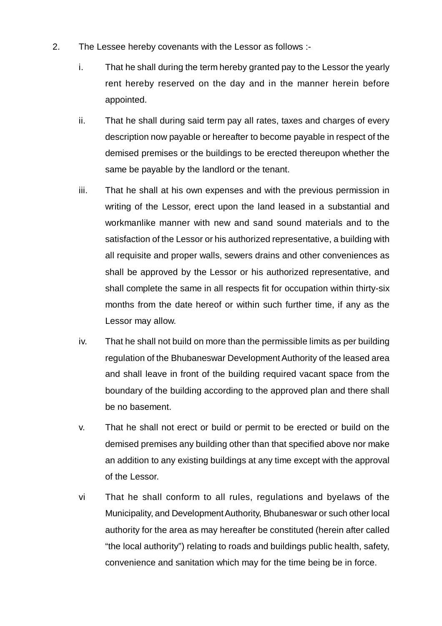- 2. The Lessee hereby covenants with the Lessor as follows :
	- i. That he shall during the term hereby granted pay to the Lessor the yearly rent hereby reserved on the day and in the manner herein before appointed.
	- ii. That he shall during said term pay all rates, taxes and charges of every description now payable or hereafter to become payable in respect of the demised premises or the buildings to be erected thereupon whether the same be payable by the landlord or the tenant.
	- iii. That he shall at his own expenses and with the previous permission in writing of the Lessor, erect upon the land leased in a substantial and workmanlike manner with new and sand sound materials and to the satisfaction of the Lessor or his authorized representative, a building with all requisite and proper walls, sewers drains and other conveniences as shall be approved by the Lessor or his authorized representative, and shall complete the same in all respects fit for occupation within thirty-six months from the date hereof or within such further time, if any as the Lessor may allow.
	- iv. That he shall not build on more than the permissible limits as per building regulation of the Bhubaneswar Development Authority of the leased area and shall leave in front of the building required vacant space from the boundary of the building according to the approved plan and there shall be no basement.
	- v. That he shall not erect or build or permit to be erected or build on the demised premises any building other than that specified above nor make an addition to any existing buildings at any time except with the approval of the Lessor.
	- vi That he shall conform to all rules, regulations and byelaws of the Municipality, and Development Authority, Bhubaneswar or such other local authority for the area as may hereafter be constituted (herein after called "the local authority") relating to roads and buildings public health, safety, convenience and sanitation which may for the time being be in force.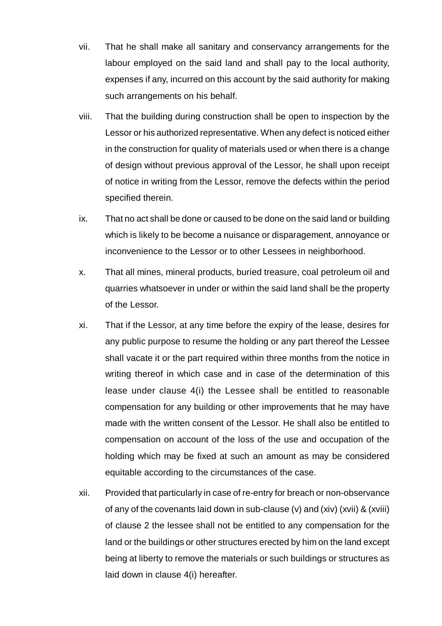- vii. That he shall make all sanitary and conservancy arrangements for the labour employed on the said land and shall pay to the local authority, expenses if any, incurred on this account by the said authority for making such arrangements on his behalf.
- viii. That the building during construction shall be open to inspection by the Lessor or his authorized representative. When any defect is noticed either in the construction for quality of materials used or when there is a change of design without previous approval of the Lessor, he shall upon receipt of notice in writing from the Lessor, remove the defects within the period specified therein.
- ix. That no act shall be done or caused to be done on the said land or building which is likely to be become a nuisance or disparagement, annoyance or inconvenience to the Lessor or to other Lessees in neighborhood.
- x. That all mines, mineral products, buried treasure, coal petroleum oil and quarries whatsoever in under or within the said land shall be the property of the Lessor.
- xi. That if the Lessor, at any time before the expiry of the lease, desires for any public purpose to resume the holding or any part thereof the Lessee shall vacate it or the part required within three months from the notice in writing thereof in which case and in case of the determination of this lease under clause 4(i) the Lessee shall be entitled to reasonable compensation for any building or other improvements that he may have made with the written consent of the Lessor. He shall also be entitled to compensation on account of the loss of the use and occupation of the holding which may be fixed at such an amount as may be considered equitable according to the circumstances of the case.
- xii. Provided that particularly in case of re-entry for breach or non-observance of any of the covenants laid down in sub-clause (v) and (xiv) (xvii) & (xviii) of clause 2 the lessee shall not be entitled to any compensation for the land or the buildings or other structures erected by him on the land except being at liberty to remove the materials or such buildings or structures as laid down in clause 4(i) hereafter.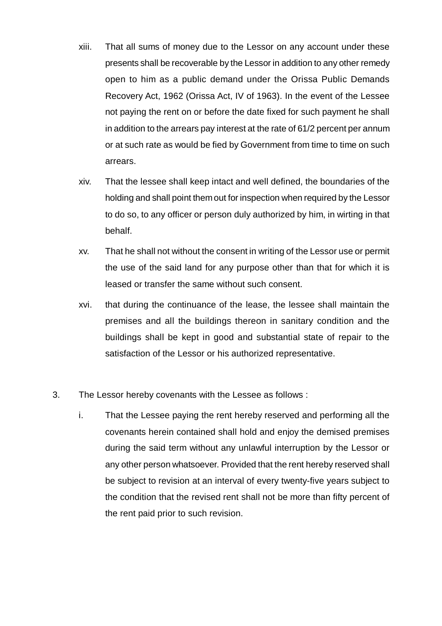- xiii. That all sums of money due to the Lessor on any account under these presents shall be recoverable by the Lessor in addition to any other remedy open to him as a public demand under the Orissa Public Demands Recovery Act, 1962 (Orissa Act, IV of 1963). In the event of the Lessee not paying the rent on or before the date fixed for such payment he shall in addition to the arrears pay interest at the rate of 61/2 percent per annum or at such rate as would be fied by Government from time to time on such arrears.
- xiv. That the lessee shall keep intact and well defined, the boundaries of the holding and shall point them out for inspection when required by the Lessor to do so, to any officer or person duly authorized by him, in wirting in that behalf.
- xv. That he shall not without the consent in writing of the Lessor use or permit the use of the said land for any purpose other than that for which it is leased or transfer the same without such consent.
- xvi. that during the continuance of the lease, the lessee shall maintain the premises and all the buildings thereon in sanitary condition and the buildings shall be kept in good and substantial state of repair to the satisfaction of the Lessor or his authorized representative.
- 3. The Lessor hereby covenants with the Lessee as follows :
	- i. That the Lessee paying the rent hereby reserved and performing all the covenants herein contained shall hold and enjoy the demised premises during the said term without any unlawful interruption by the Lessor or any other person whatsoever. Provided that the rent hereby reserved shall be subject to revision at an interval of every twenty-five years subject to the condition that the revised rent shall not be more than fifty percent of the rent paid prior to such revision.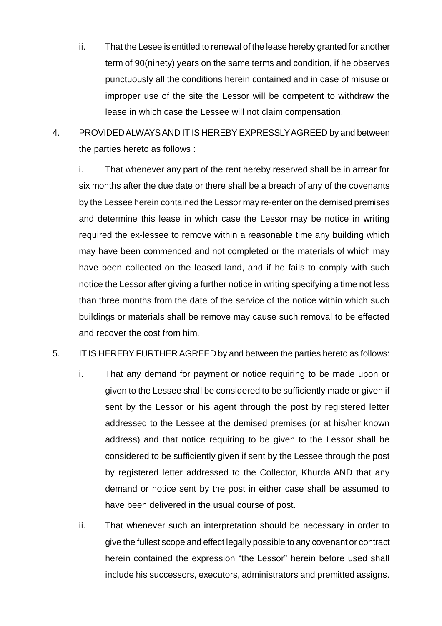- ii. That the Lesee is entitled to renewal of the lease hereby granted for another term of 90(ninety) years on the same terms and condition, if he observes punctuously all the conditions herein contained and in case of misuse or improper use of the site the Lessor will be competent to withdraw the lease in which case the Lessee will not claim compensation.
- 4. PROVIDED ALWAYS AND IT IS HEREBY EXPRESSLY AGREED by and between the parties hereto as follows :

i. That whenever any part of the rent hereby reserved shall be in arrear for six months after the due date or there shall be a breach of any of the covenants by the Lessee herein contained the Lessor may re-enter on the demised premises and determine this lease in which case the Lessor may be notice in writing required the ex-lessee to remove within a reasonable time any building which may have been commenced and not completed or the materials of which may have been collected on the leased land, and if he fails to comply with such notice the Lessor after giving a further notice in writing specifying a time not less than three months from the date of the service of the notice within which such buildings or materials shall be remove may cause such removal to be effected and recover the cost from him.

## 5. IT IS HEREBY FURTHER AGREED by and between the parties hereto as follows:

- i. That any demand for payment or notice requiring to be made upon or given to the Lessee shall be considered to be sufficiently made or given if sent by the Lessor or his agent through the post by registered letter addressed to the Lessee at the demised premises (or at his/her known address) and that notice requiring to be given to the Lessor shall be considered to be sufficiently given if sent by the Lessee through the post by registered letter addressed to the Collector, Khurda AND that any demand or notice sent by the post in either case shall be assumed to have been delivered in the usual course of post.
- ii. That whenever such an interpretation should be necessary in order to give the fullest scope and effect legally possible to any covenant or contract herein contained the expression "the Lessor" herein before used shall include his successors, executors, administrators and premitted assigns.